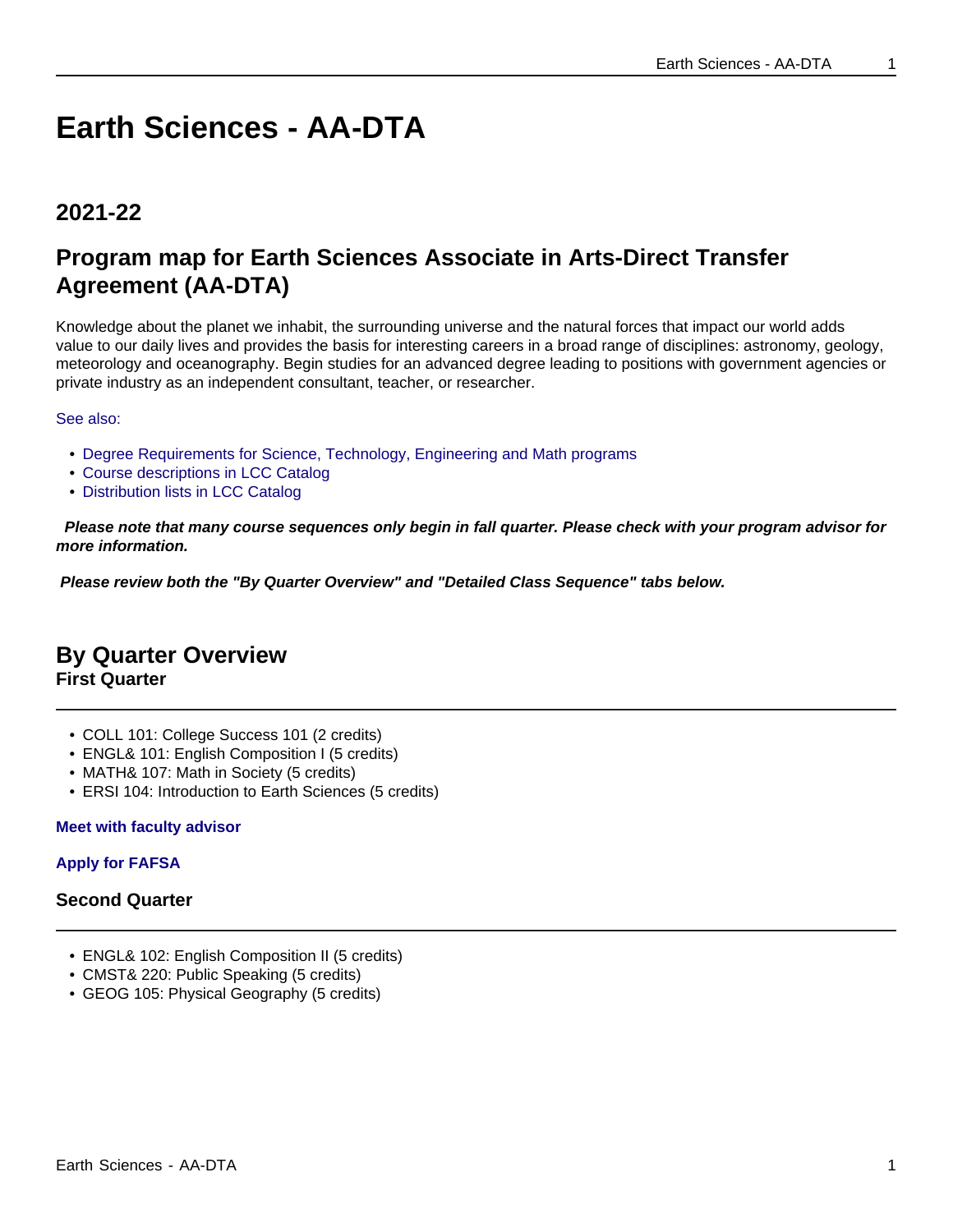# **Earth Sciences - AA-DTA**

## **2021-22**

## **Program map for Earth Sciences Associate in Arts-Direct Transfer Agreement (AA-DTA)**

Knowledge about the planet we inhabit, the surrounding universe and the natural forces that impact our world adds value to our daily lives and provides the basis for interesting careers in a broad range of disciplines: astronomy, geology, meteorology and oceanography. Begin studies for an advanced degree leading to positions with government agencies or private industry as an independent consultant, teacher, or researcher.

### See also:

- Degree Requirements for Science, Technology, Engineering and Math programs
- Course descriptions in LCC Catalog
- Distribution lists in LCC Catalog

 **Please note that many course sequences only begin in fall quarter. Please check with your program advisor for more information.**

**Please review both the "By Quarter Overview" and "Detailed Class Sequence" tabs below.**

## **By Quarter Overview**

**First Quarter**

- COLL 101: College Success 101 (2 credits)
- ENGL& 101: English Composition I (5 credits)
- MATH& 107: Math in Society (5 credits)
- ERSI 104: Introduction to Earth Sciences (5 credits)

#### **Meet with faculty advisor**

#### **Apply for FAFSA**

## **Second Quarter**

- ENGL& 102: English Composition II (5 credits)
- CMST& 220: Public Speaking (5 credits)
- GEOG 105: Physical Geography (5 credits)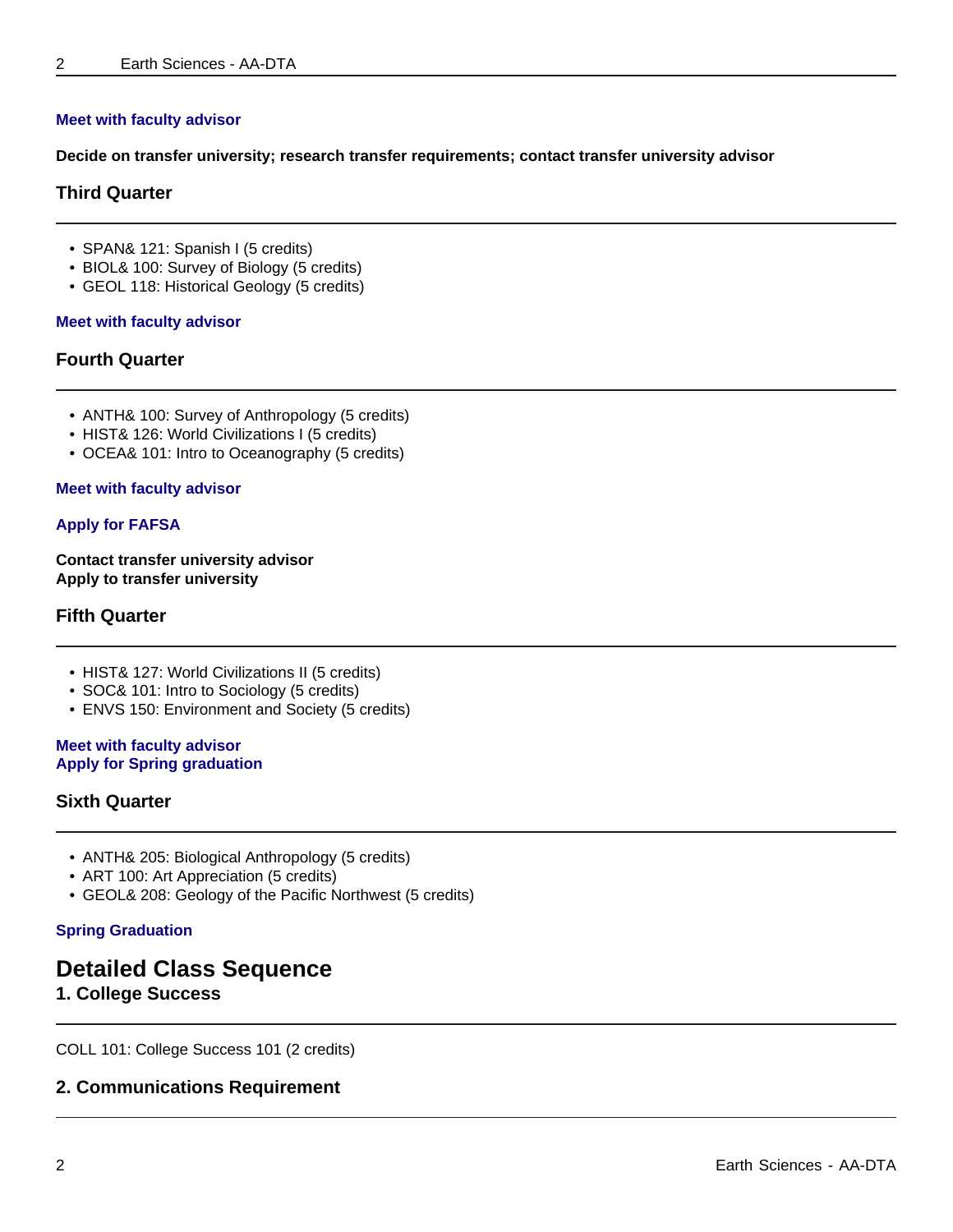### **Meet with faculty advisor**

**Decide on transfer university; research transfer requirements; contact transfer university advisor**

## **Third Quarter**

- SPAN& 121: Spanish I (5 credits)
- BIOL& 100: Survey of Biology (5 credits)
- GEOL 118: Historical Geology (5 credits)

#### **Meet with faculty advisor**

## **Fourth Quarter**

- ANTH& 100: Survey of Anthropology (5 credits)
- HIST& 126: World Civilizations I (5 credits)
- OCEA& 101: Intro to Oceanography (5 credits)

#### **Meet with faculty advisor**

#### **Apply for FAFSA**

**Contact transfer university advisor Apply to transfer university**

#### **Fifth Quarter**

- HIST& 127: World Civilizations II (5 credits)
- SOC& 101: Intro to Sociology (5 credits)
- ENVS 150: Environment and Society (5 credits)

## **Meet with faculty advisor Apply for Spring graduation**

## **Sixth Quarter**

- ANTH& 205: Biological Anthropology (5 credits)
- ART 100: Art Appreciation (5 credits)
- GEOL& 208: Geology of the Pacific Northwest (5 credits)

#### **Spring Graduation**

## **Detailed Class Sequence**

## **1. College Success**

COLL 101: College Success 101 (2 credits)

## **2. Communications Requirement**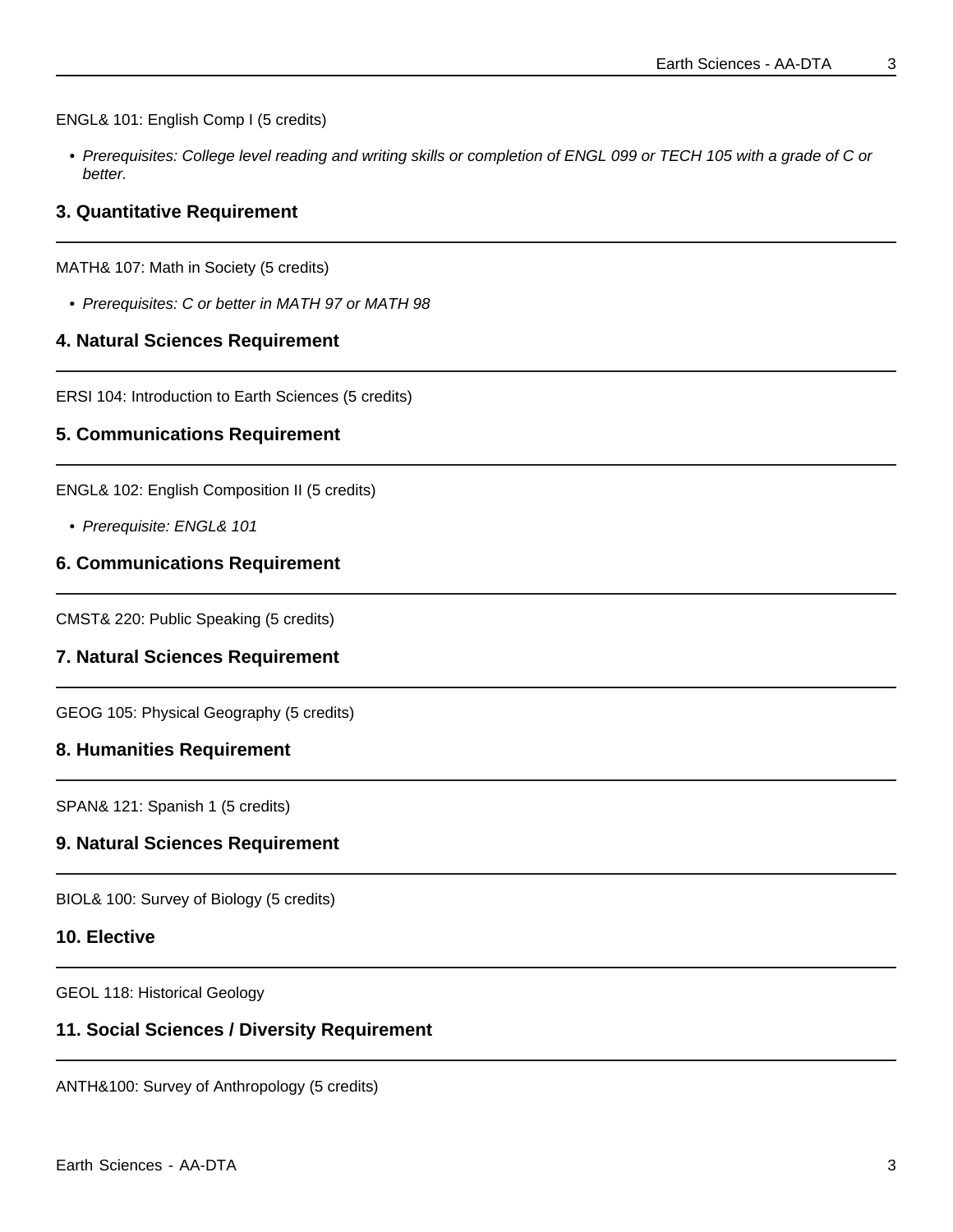ENGL& 101: English Comp I (5 credits)

• Prerequisites: College level reading and writing skills or completion of ENGL 099 or TECH 105 with a grade of C or better.

## **3. Quantitative Requirement**

MATH& 107: Math in Society (5 credits)

• Prerequisites: C or better in MATH 97 or MATH 98

## **4. Natural Sciences Requirement**

ERSI 104: Introduction to Earth Sciences (5 credits)

## **5. Communications Requirement**

ENGL& 102: English Composition II (5 credits)

• Prerequisite: ENGL& 101

## **6. Communications Requirement**

CMST& 220: Public Speaking (5 credits)

## **7. Natural Sciences Requirement**

GEOG 105: Physical Geography (5 credits)

## **8. Humanities Requirement**

SPAN& 121: Spanish 1 (5 credits)

## **9. Natural Sciences Requirement**

BIOL& 100: Survey of Biology (5 credits)

## **10. Elective**

GEOL 118: Historical Geology

## **11. Social Sciences / Diversity Requirement**

ANTH&100: Survey of Anthropology (5 credits)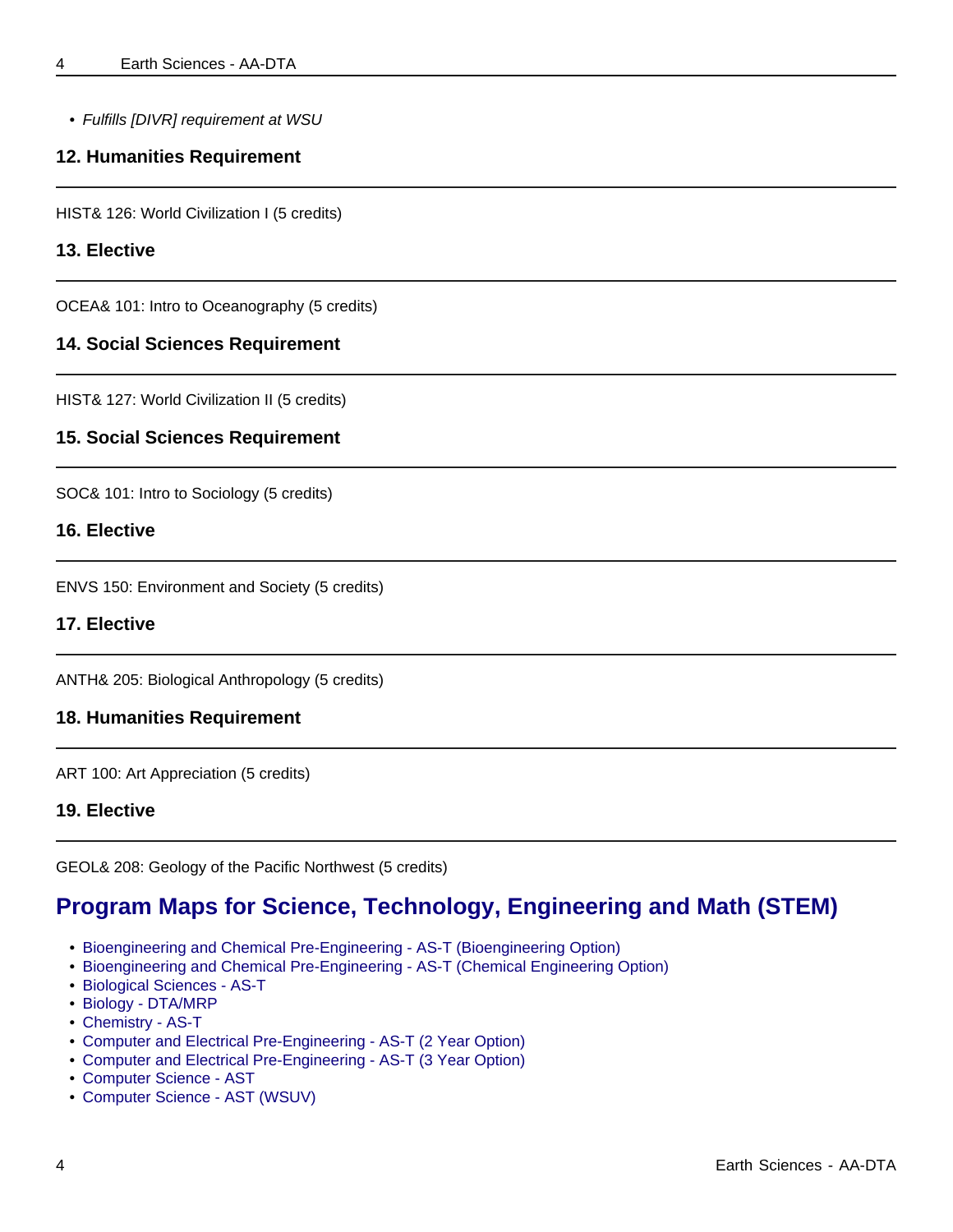• Fulfills [DIVR] requirement at WSU

## **12. Humanities Requirement**

HIST& 126: World Civilization I (5 credits)

## **13. Elective**

OCEA& 101: Intro to Oceanography (5 credits)

### **14. Social Sciences Requirement**

HIST& 127: World Civilization II (5 credits)

## **15. Social Sciences Requirement**

SOC& 101: Intro to Sociology (5 credits)

#### **16. Elective**

ENVS 150: Environment and Society (5 credits)

## **17. Elective**

ANTH& 205: Biological Anthropology (5 credits)

## **18. Humanities Requirement**

ART 100: Art Appreciation (5 credits)

#### **19. Elective**

GEOL& 208: Geology of the Pacific Northwest (5 credits)

## **Program Maps for Science, Technology, Engineering and Math (STEM)**

- Bioengineering and Chemical Pre-Engineering AS-T (Bioengineering Option)
- Bioengineering and Chemical Pre-Engineering AS-T (Chemical Engineering Option)
- Biological Sciences AS-T
- Biology DTA/MRP
- Chemistry AS-T
- Computer and Electrical Pre-Engineering AS-T (2 Year Option)
- Computer and Electrical Pre-Engineering AS-T (3 Year Option)
- Computer Science AST
- Computer Science AST (WSUV)